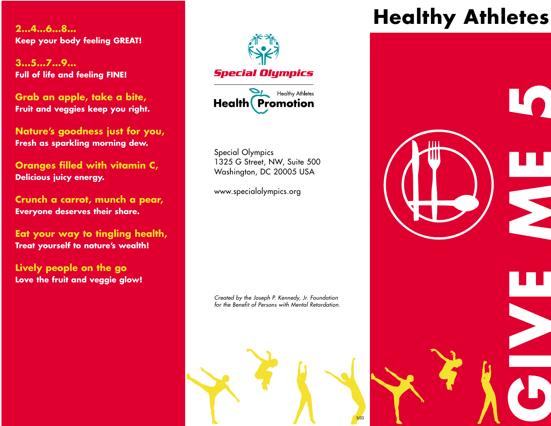**2…4…6…8… Keep your body feeling GREAT!**

**3…5…7…9… Full of life and feeling FINE!**

**Grab an apple, take a bite, Fruit and veggies keep you right.**

**Nature's goodness just for you, Fresh as sparkling morning dew.**

**Oranges filled with vitamin C, Delicious juicy energy.**

**Crunch a carrot, munch a pear, Everyone deserves their share.**

**Eat your way to tingling health, Treat yourself to nature's wealth!**

**Lively people on the go Love the fruit and veggie glow!**





Special Olympics 1325 G Street, NW, Suite 500 Washington, DC 20005 USA

www.specialolympics.org

*Created by the Joseph P. Kennedy, Jr. Foundation for the Benefit of Persons with Mental Retardation.*



# **Healthy Athletes**